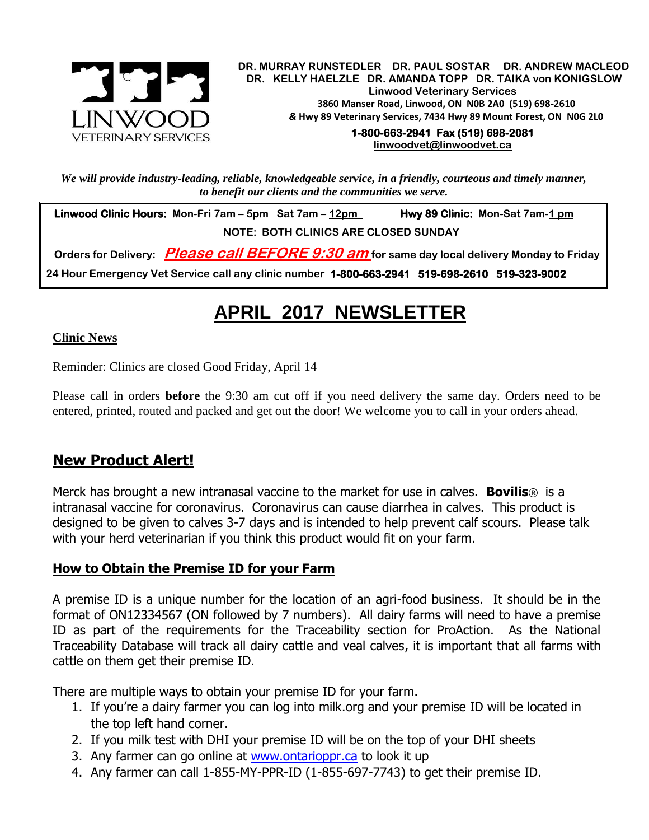

.  **DR. MURRAY RUNSTEDLER DR. PAUL SOSTAR DR. ANDREW MACLEOD DR. KELLY HAELZLE DR. AMANDA TOPP DR. TAIKA von KONIGSLOW Linwood Veterinary Services 3860 Manser Road, Linwood, ON N0B 2A0 (519) 698-2610** *&* **Hwy 89 Veterinary Services, 7434 Hwy 89 Mount Forest, ON N0G 2L0**

> **1-800-663-2941 Fax (519) 698-2081 [linwoodvet@linwoodvet.ca](mailto:linwoodvet@linwoodvet.ca)**

*We will provide industry-leading, reliable, knowledgeable service, in a friendly, courteous and timely manner, to benefit our clients and the communities we serve.*

 **Linwood Clinic Hours: Mon-Fri 7am – 5pm Sat 7am – 12pm Hwy 89 Clinic: Mon-Sat 7am-1 pm NOTE: BOTH CLINICS ARE CLOSED SUNDAY**

 **Orders for Delivery: Please call BEFORE 9:30 am for same day local delivery Monday to Friday 24 Hour Emergency Vet Service call any clinic number 1-800-663-2941 519-698-2610 519-323-9002**

# **APRIL 2017 NEWSLETTER**

### **Clinic News**

Reminder: Clinics are closed Good Friday, April 14

Please call in orders **before** the 9:30 am cut off if you need delivery the same day. Orders need to be entered, printed, routed and packed and get out the door! We welcome you to call in your orders ahead.

# **New Product Alert!**

Merck has brought a new intranasal vaccine to the market for use in calves. **Bovilis**® is a intranasal vaccine for coronavirus. Coronavirus can cause diarrhea in calves. This product is designed to be given to calves 3-7 days and is intended to help prevent calf scours. Please talk with your herd veterinarian if you think this product would fit on your farm.

# **How to Obtain the Premise ID for your Farm**

A premise ID is a unique number for the location of an agri-food business. It should be in the format of ON12334567 (ON followed by 7 numbers). All dairy farms will need to have a premise ID as part of the requirements for the Traceability section for ProAction. As the National Traceability Database will track all dairy cattle and veal calves, it is important that all farms with cattle on them get their premise ID.

There are multiple ways to obtain your premise ID for your farm.

- 1. If you're a dairy farmer you can log into milk.org and your premise ID will be located in the top left hand corner.
- 2. If you milk test with DHI your premise ID will be on the top of your DHI sheets
- 3. Any farmer can go online at [www.ontarioppr.ca](http://www.ontarioppr.ca/) to look it up
- 4. Any farmer can call 1-855-MY-PPR-ID (1-855-697-7743) to get their premise ID.